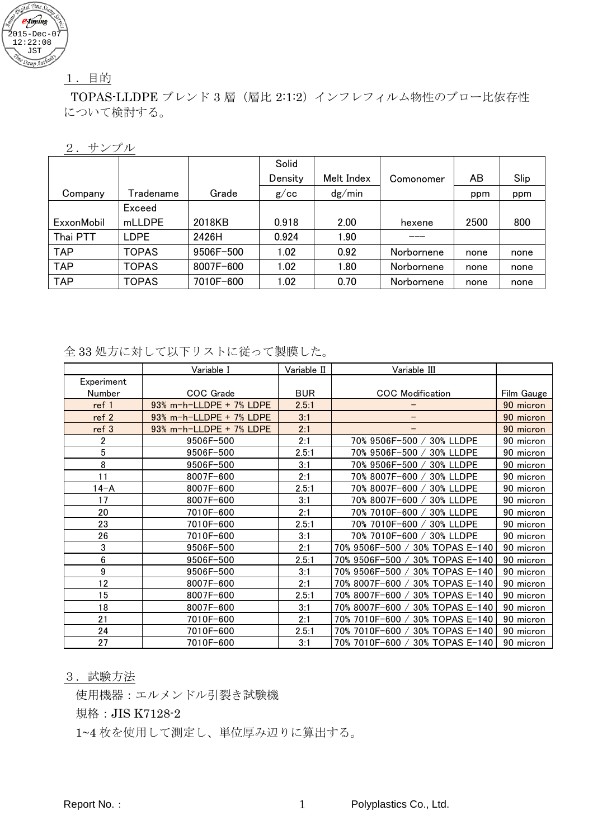

# 1.目的

TOPAS-LLDPE ブレンド 3 層(層比 2:1:2)インフレフィルム物性のブロー比依存性 について検討する。

#### 2.サンプル

|            |              |           | Solid   |            |            |      |      |
|------------|--------------|-----------|---------|------------|------------|------|------|
|            |              |           | Density | Melt Index | Comonomer  | AB   | Slip |
| Company    | Tradename    | Grade     | g/cc    | dg/min     |            | ppm  | ppm  |
|            | Exceed       |           |         |            |            |      |      |
| ExxonMobil | mLLDPE       | 2018KB    | 0.918   | 2.00       | hexene     | 2500 | 800  |
| Thai PTT   | LDPE         | 2426H     | 0.924   | 1.90       |            |      |      |
| <b>TAP</b> | <b>TOPAS</b> | 9506F-500 | 1.02    | 0.92       | Norbornene | none | none |
| <b>TAP</b> | <b>TOPAS</b> | 8007F-600 | 1.02    | 1.80       | Norbornene | none | none |
| <b>TAP</b> | <b>TOPAS</b> | 7010F-600 | .02     | 0.70       | Norbornene | none | none |

## 全 33 処方に対して以下リストに従って製膜した。

|                  | Variable I              | Variable II | Variable III                        |            |
|------------------|-------------------------|-------------|-------------------------------------|------------|
| Experiment       |                         |             |                                     |            |
| Number           | COC Grade               | <b>BUR</b>  | <b>COC</b> Modification             | Film Gauge |
| ref 1            | 93% m-h-LLDPE + 7% LDPE | 2.5:1       |                                     | 90 micron  |
| ref 2            | 93% m-h-LLDPE + 7% LDPE | 3:1         | -                                   | 90 micron  |
| ref 3            | 93% m-h-LLDPE + 7% LDPE | 2:1         |                                     | 90 micron  |
| 2                | 9506F-500               | 2:1         | 70% 9506F-500<br>30% LLDPE          | 90 micron  |
| $\overline{5}$   | 9506F-500               | 2.5:1       | 70% 9506F-500 /<br>30% LLDPE        | 90 micron  |
| 8                | 9506F-500               | 3:1         | 70% 9506F-500 /<br><b>30% LLDPE</b> | 90 micron  |
| 11               | 8007F-600               | 2:1         | 70% 8007F-600<br>30% LLDPE          | 90 micron  |
| $14 - A$         | 8007F-600               | 2.5:1       | 70% 8007F-600<br><b>30% LLDPE</b>   | 90 micron  |
| 17               | 8007F-600               | 3:1         | <b>30% LLDPE</b><br>70% 8007F-600   | 90 micron  |
| 20               | 7010F-600               | 2:1         | 70% 7010F-600<br>30% LLDPE          | 90 micron  |
| 23               | 7010F-600               | 2.5:1       | 70% 7010F-600 /<br><b>30% LLDPE</b> | 90 micron  |
| 26               | 7010F-600               | 3:1         | 70% 7010F-600 /<br>30% LLDPE        | 90 micron  |
| 3                | 9506F-500               | 2:1         | 70% 9506F-500 /<br>30% TOPAS E-140  | 90 micron  |
| $\boldsymbol{6}$ | 9506F-500               | 2.5:1       | 70% 9506F-500 /<br>30% TOPAS E-140  | 90 micron  |
| 9                | 9506F-500               | 3:1         | 70% 9506F-500<br>30% TOPAS E-140    | 90 micron  |
| 12               | 8007F-600               | 2:1         | 70% 8007F-600<br>30% TOPAS E-140    | 90 micron  |
| 15               | 8007F-600               | 2.5:1       | 70% 8007F-600<br>30% TOPAS E-140    | 90 micron  |
| 18               | 8007F-600               | 3:1         | 70% 8007F-600 /<br>30% TOPAS E-140  | 90 micron  |
| 21               | 7010F-600               | 2:1         | 70% 7010F-600<br>30% TOPAS E-140    | 90 micron  |
| 24               | 7010F-600               | 2.5:1       | 70% 7010F-600<br>30% TOPAS E-140    | 90 micron  |
| 27               | 7010F-600               | 3:1         | 70% 7010F-600<br>30% TOPAS E-140    | 90 micron  |

#### 3.試験方法

使用機器:エルメンドル引裂き試験機

規格:JIS K7128-2

1~4 枚を使用して測定し、単位厚み辺りに算出する。

Report No.: 1 Polyplastics Co., Ltd.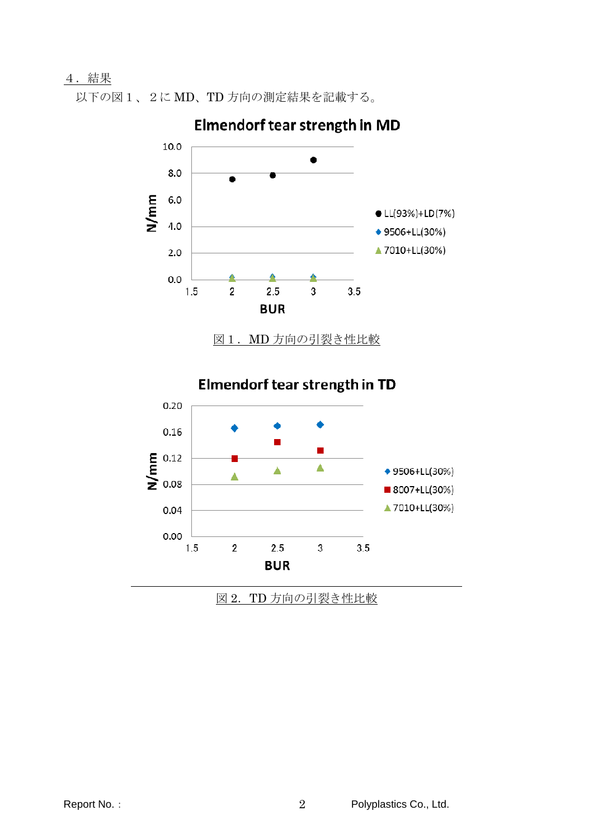## 4.結果

以下の図1、2に MD、TD 方向の測定結果を記載する。



Elmendorf tear strength in MD

■ 8007+LL(30%) ▲ 7010+LL(30%)

図 2.TD 方向の引裂き性比較

 $\mathbf{3}$ 

 $3.5$ 

Δ

 $2.5$ 

**BUR** 

Â

 $\overline{2}$ 

0.04

 $0.00$ 

1.5